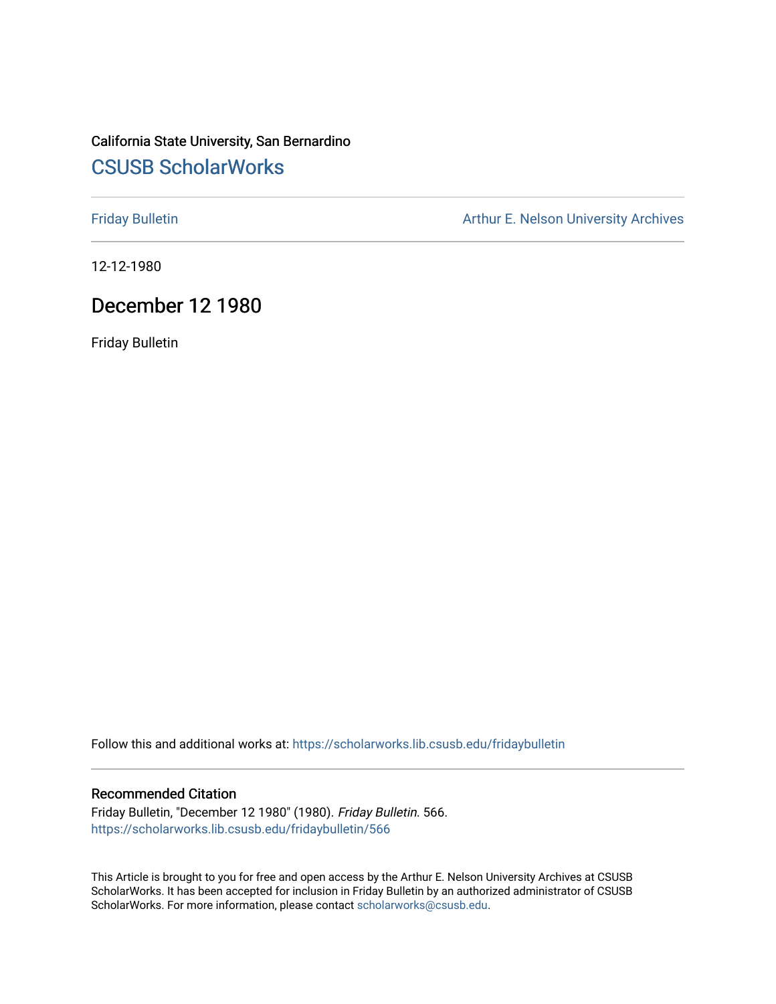# California State University, San Bernardino [CSUSB ScholarWorks](https://scholarworks.lib.csusb.edu/)

[Friday Bulletin](https://scholarworks.lib.csusb.edu/fridaybulletin) **Arthur E. Nelson University Archives** Arthur E. Nelson University Archives

12-12-1980

# December 12 1980

Friday Bulletin

Follow this and additional works at: [https://scholarworks.lib.csusb.edu/fridaybulletin](https://scholarworks.lib.csusb.edu/fridaybulletin?utm_source=scholarworks.lib.csusb.edu%2Ffridaybulletin%2F566&utm_medium=PDF&utm_campaign=PDFCoverPages)

## Recommended Citation

Friday Bulletin, "December 12 1980" (1980). Friday Bulletin. 566. [https://scholarworks.lib.csusb.edu/fridaybulletin/566](https://scholarworks.lib.csusb.edu/fridaybulletin/566?utm_source=scholarworks.lib.csusb.edu%2Ffridaybulletin%2F566&utm_medium=PDF&utm_campaign=PDFCoverPages)

This Article is brought to you for free and open access by the Arthur E. Nelson University Archives at CSUSB ScholarWorks. It has been accepted for inclusion in Friday Bulletin by an authorized administrator of CSUSB ScholarWorks. For more information, please contact [scholarworks@csusb.edu.](mailto:scholarworks@csusb.edu)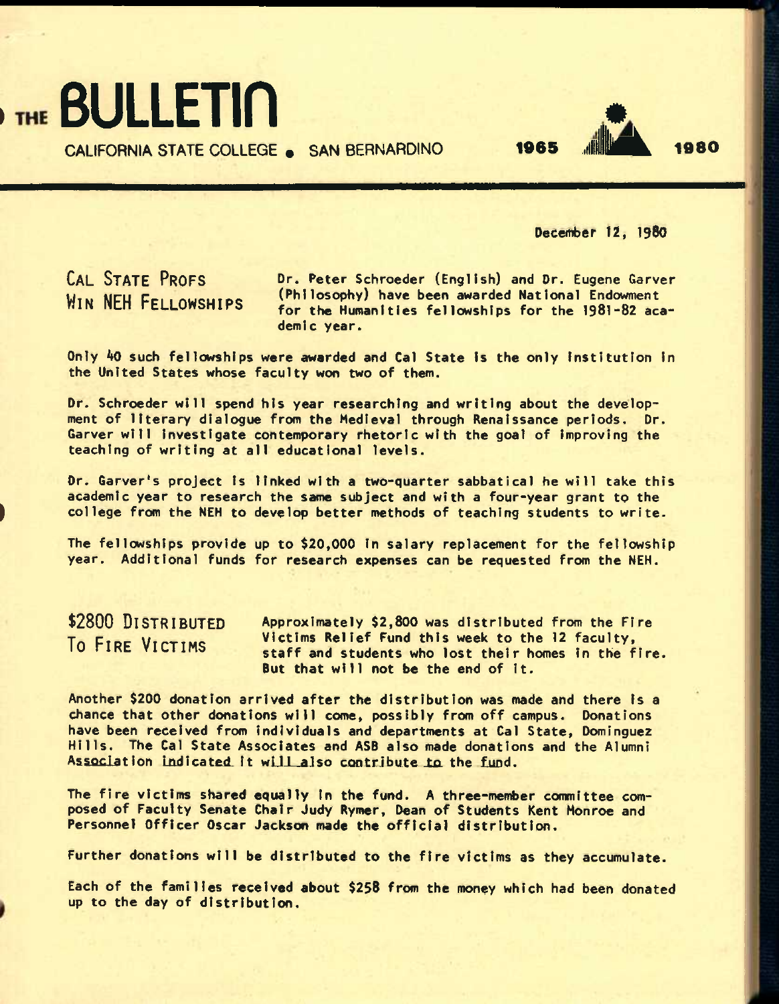THE BULLETIN

**CALIFORNIA STATE COLLEGE • SAN BERNARDINO** 

December 12, I98O

*m* 

1965 .jllflL 1980

**CAL STATE PROFS WIN NEH FELLOWSHIPS** 

Dr. Peter Schroeder (English) and Dr. Eugene Garver (Philosophy) have been awarded National Endowment for the Humanities fellowships for the 1981-82 academic year.

Only *kO* such fellowships were awarded and Cal State Is the only Institution In the United States whose faculty won two of them.

Dr. Schroeder will spend his year researching and writing about the development of literary dialogue from the Medieval through Renaissance periods. Dr. Garver will investigate contemporary rhetoric with the goal of improving the teaching of writing at all educational levels.

Dr. Carver's project Is linked with a two-quarter sabbatical he will take this academic year to research the same subject and with a four-year grant to the college from the NEH to develop better methods of teaching students to write.

The fellowships provide up to \$20,000 In salary replacement for the fellowship year. Additional funds for research expenses can be requested from the NEH.

**\$2800 DISTRIBUTED To FIRE VICTIMS** 

Approximately \$2,800 was distributed from the Fire Victims Relief Fund this week to the 12 faculty, staff and students who lost their homes in the fire. But that will not be the end of It.

Another \$200 donation arrived after the distribution was made and there Is a chance that other donations will come, possibly from off campus. Donations have been received from Individuals and departments at Cal State, Domlnguez nave been received from individuals and departments at Cal State, Dominguez<br>Hills. The Cal State Associates and ASB also made donations and the Alumni<br>Association indicated it will also contribute to the fund.

The fire victims shared equally In the fund. A three-member committee composed of Faculty Senate Chair Judy Rymer, Dean of Students Kent Monroe and Personnel Officer Oscar Jackson made the official distribution.

Further donations will be distributed to the fire victims as they accumulate.

Each of the families received about \$258 from the money which had been donated up to the day of distribution.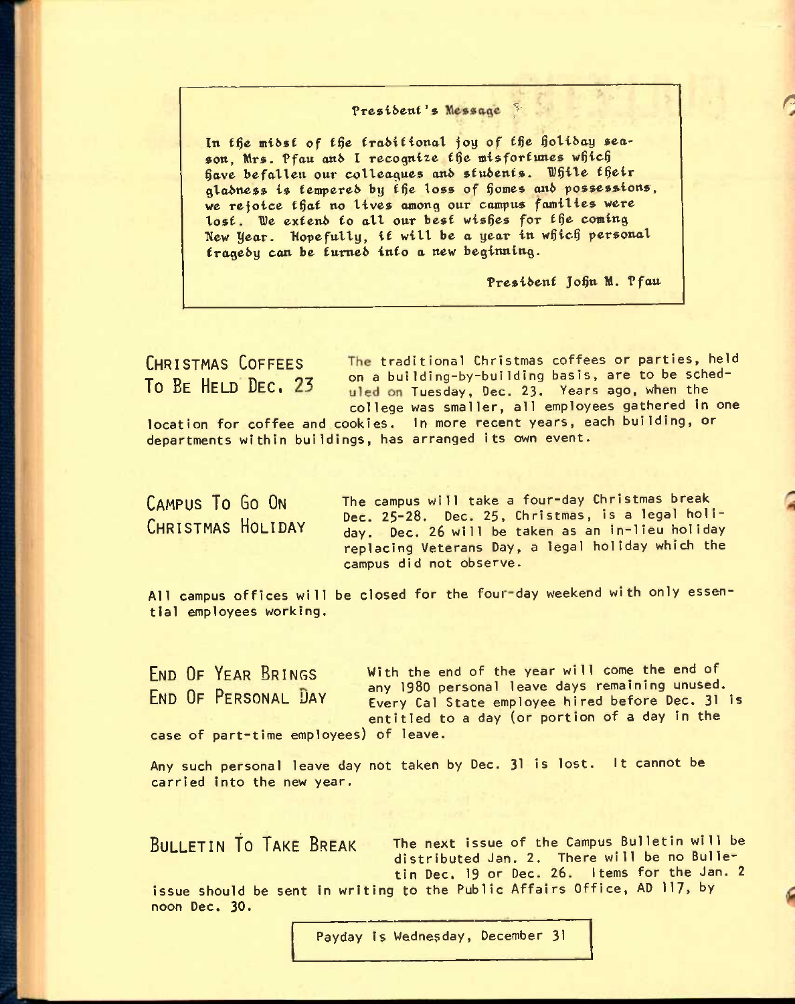### President's Message

In the midst of the traditional joy of the holiday sea-In the midst of the traditional joy of the holiday sends the midst of the fractional joy of the holiday sends the misfortunes which son, Mrs. Pfau and I recognize the misfortunes which<br>have befallen our colleagues and students. While their gladness is tempered by the loss of homes and possessions, we rejoice that no lives among our campus families were lost. We extend to all our best wishes for the coming New Year. Hopefully, it will be a year in which personal trageby can be tumeb into a new beginning.

President John M. Pfau

**R** 

**CHRISTMAS COFFEES** traditional Christmas coffees or parties, held To Be HELD DEC. 23 on a building-by-building basis, are to be sched-<br>To Be HELD DEC. 23 under Tuesday, Dec. 23 Years ago, when the **10 DE HELD UEC**I Tuesday, Dec. **23.** Years ago, when the college was smaller, all employees gathered in one

location for coffee and cookies. In more recent years, each building, or departments within buildings, has arranged its own event.

**CAMPUS TO GO ON CHRISTMAS HOLIDAY**  The campus will take a four-day Christmas break Dec. **25-28.** Dec. **25.** Christmas, is a legal holiday. Dec. **26** will be taken as an in-lieu holiday replacing Veterans Day, a legal holiday which the campus did not observe.

All campus offices will be closed for the four-day weekend with only essential employees working.

**FND OF YFAR BRINGS with** the end of the year will come the end of END OF PERSONAL DAY any 1980 personal leave days remaining unused. Every Cal State employee hired before Dec. 31 is entitled to a day (or portion of a day in the case of part-time employees) of leave.

Any such personal leave day not taken by Dec. 31 is lost. It cannot be carried into the new year.

**BULLETIN TO TAKE BREAK The next issue of the Campus Bulletin will be** distributed Jan. **2.** There will be no Bulletin Dec. **19** or Dec. 26. Items for the Jan. **<sup>2</sup>**

issue should be sent in writing to the Public Affairs Office, AD 117, by noon Dec. 30.

Payday is Wednesday, December 31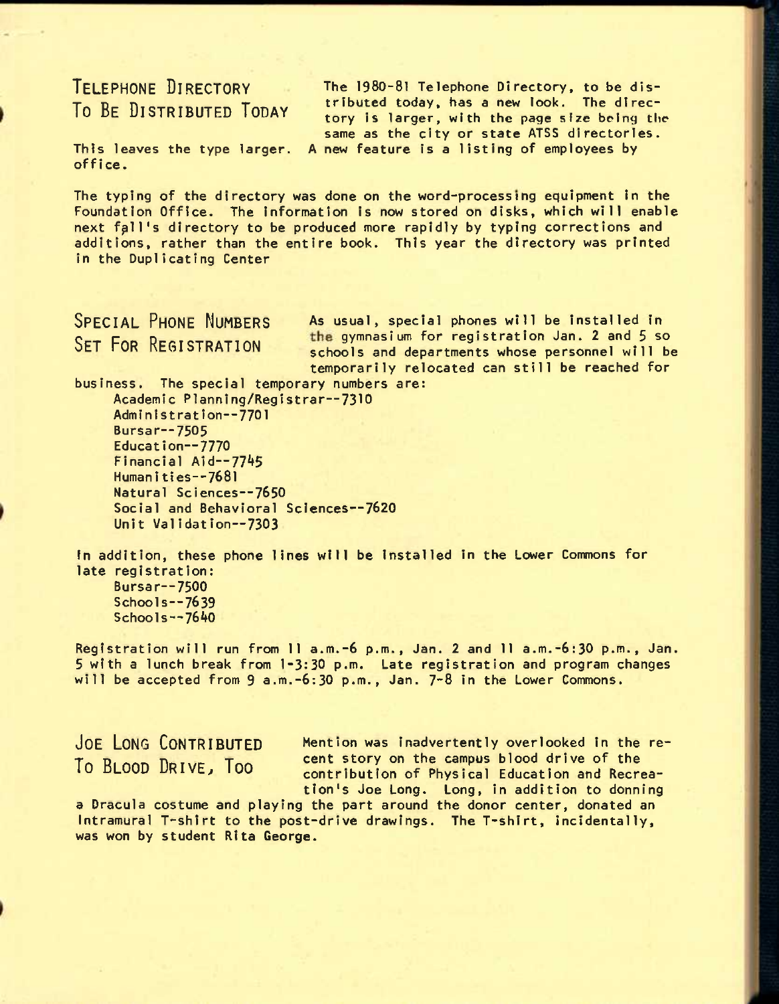# **TELEPHONE DIRECTORY To BE DISTRIBUTED TODAY**

This leaves the type larger. A new feature is a listing of employees by The 1980-81 Telephone Directory, to be distributed today, has a new look. The directory is larger, with the page size being the same as the city or state ATSS directorles.

office.

The typing of the directory was done on the word-processing equipment in the Foundation Office. The Information Is now stored on disks, which will enable next fall's directory to be produced more rapidly by typing corrections and additions, rather than the entire book. This year the directory was printed in the Duplicating Center

SPECIAL PHONE NUMBERS As usual, special phones will be installed in SFT FOR REGISTRATION the gymnasium for registration Jan. 2 and 5 so schools and departments whose personnel will be temporarily relocated can still be reached for

business. The special temporary numbers are: Academic Planning/Registrar—7310 Administration--7701 Bursar—7505 Educat ion—7770 Financial Aid--7745 Human Itles--768l Natural Sciences—7650 Social and Behavioral Sclences--7620 Unit Validation—7303

In addition, these phone lines will be Installed in the Lower Commons for late registration: Bursar—7500 Schools—7639 Schools $-7640$ 

Registration will run from II a.m.-6 p.m., Jan. 2 and II a.m.-6:30 p.m., Jan. 5 with a lunch break from 1-3:30 p.m. Late registration and program changes will be accepted from  $9$  a.m.-6:30 p.m., Jan.  $7-8$  in the Lower Commons.

JOE LONG CONTRIBUTED Mention was inadvertently overlooked in the re-To BLOOD DRIVE, Too cent story on the campus blood drive of the contribution of Physical Education and Recreation's Joe Long. Long, in addition to donning

a Dracula costume and playing the part around the donor center, donated an Intramural T-shirt to the post-drive drawings. The T-shirt, incidentally, was won by student Rita George.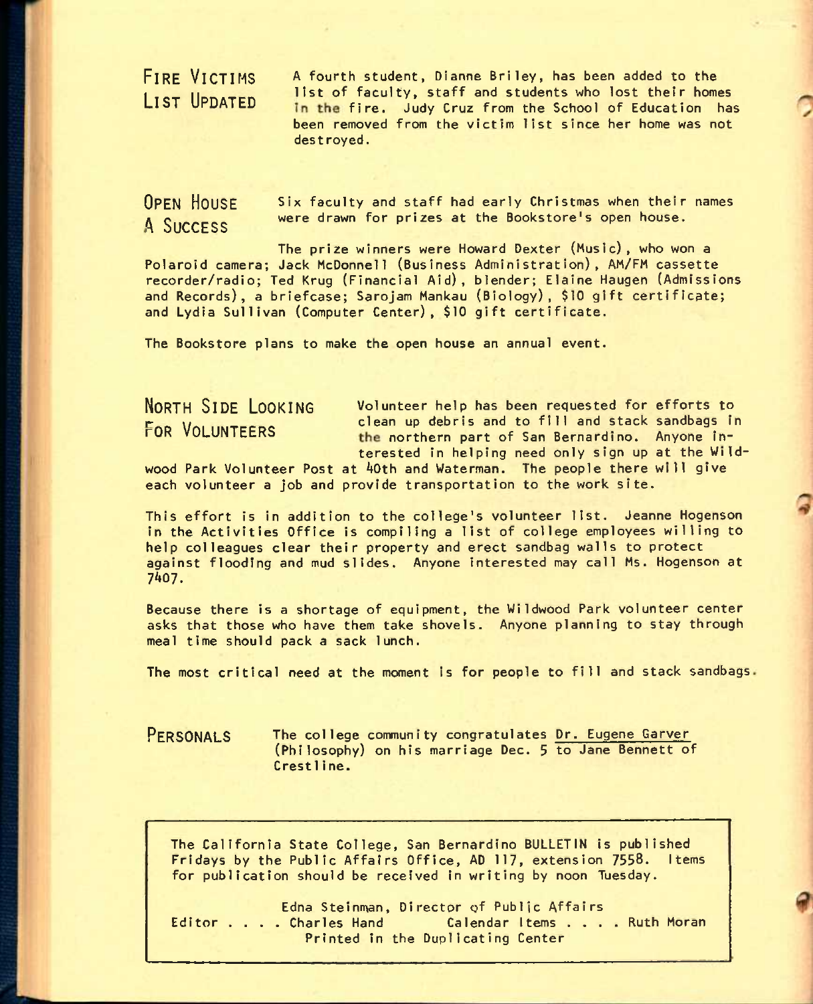**FIRE VICTIMS**<br>LIST UPDATED

A fourth student, Dianne Briley, has been added to the list of faculty, staff and students who lost their homes In the fire. Judy Cruz from the School of Education has been removed from the victim list since her home was not destroyed.

**OPEN HOUSE** six faculty and staff had early Christmas when their names ^ **SUCCESS** were drawn for prizes at the Bookstore's open house.

The prize winners were Howard Dexter (Music), who won a Polaroid camera; Jack McDonnell (Business Administration), AM/FM cassette recorder/radio; Ted Krug (Financial Aid), blender; Elaine Haugen (Admissions and Records), a briefcase; Sarojam Mankau (Biology), \$10 gift certificate; and Lydia Sullivan (Computer Center), \$10 gift certificate.

The Bookstore plans to make the open house an annual event.

**NORTH SIDE LOOKING** volunteer help has been requested for efforts to FOR VOLUNTEERS clean up debris and to fill and stack sandbags in the northern part of San Bernardino. Anyone interested in helping need only sign up at the Wild-

wood Park Volunteer Post at AOth and Waterman. The people there will give each volunteer a job and provide transportation to the work site.

This effort is in addition to the college's volunteer list. Jeanne Hogenson in the Activities Office is compiling a list of college employees willing to help colleagues clear their property and erect sandbag walls to protect against flooding and mud slides. Anyone interested may call Ms. Hogenson at 7^07.

Because there is a shortage of equipment, the Wildwood Park volunteer center asks that those who have them take shovels. Anyone planning to stay through meal time should pack a sack lunch.

The most critical need at the moment is for people to fill and stack sandbags.

**PERSONALS** The college community congratulates Dr. Eugene Carver (Philosophy) on his marriage Dec. 5 to Jane Bennett of Crestline.

The California State College, San Bernardino BULLETIN is published Fridays by the Public Affairs Office, AD 117, extension 7558. Items for publication should be received in writing by noon Tuesday.

Edna Steinman, Director of Public Affairs Editor . . . Charles Hand Calendar Items . . . Ruth Moran Printed in the Duplicating Center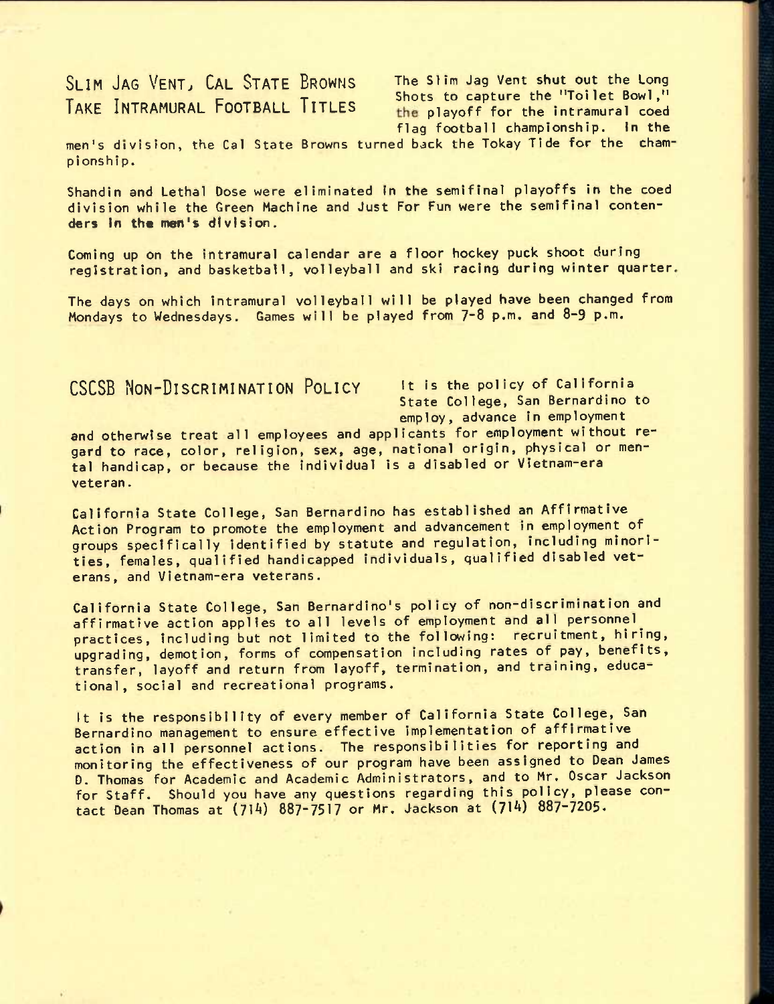# SLIM JAG VENT, CAL STATE BROWNS The Slim Jag Vent shut out the Long **Shots** to capture the "Toilet Bowl,"

TAKE INTRAMURAL FOOTBALL TITLES the playoff for the intramural coed flag football championship. In the

men's division, the Cal State Browns turned back the Tokay Tide for the championship.

Shandin and Lethal Dose were eliminated In the semifinal playoffs in the coed division while the Green Machine and Just For Fun were the semifinal contenders In the men's division.

Coming up on the intramural calendar are a floor hockey puck shoot during registration, and basketball, volleyball and ski racing during winter quarter.

The days on which intramural volleyball will be played have been changed from Mondays to Wednesdays. Games will be played from 7-8 p.m. and 8-9 p.m.

# **CSCSB NON-DISCRIMINATION POLICY** It is the policy of California

State College, San Bernardino to employ, advance in employment

and otherwise treat all employees and applicants for employment without regard to race, color, religion, sex, age, national origin, physical or mental handicap, or because the Individual is a disabled or Vietnam-era veteran.

California State College, San Bernardino has established an Affirmative Action Program to promote the employment and advancement in employment of^ groups specifically identified by statute and regulation, including minorities, females, qualified handicapped individuals, qualified disabled veterans, and Vietnam-era veterans.

California State College, San Bernardino's policy of non-discrimination and affirmative action applies to all levels of employment and all personnel^ practices, including but not limited to the following; recruitment, hiring, upgrading, demotion, forms of compensation including rates of pay, benefits, transfer, layoff and return from layoff, termination, and training, educational, social and recreational programs.

It is the responsibility of every member of California State College, San Bernardino management to ensure effective implementation of affirmative action in all personnel actions. The responsibilities for reporting and monitoring the effectiveness of our program have been assigned to Dean James D. Thomas for Academic and Academic Administrators, and to Mr. Oscar Jackson for Staff. Should you have any questions regarding this policy, please contact Dean Thomas at  $(714)$  887-7517 or Mr. Jackson at  $(714)$  887-7205.